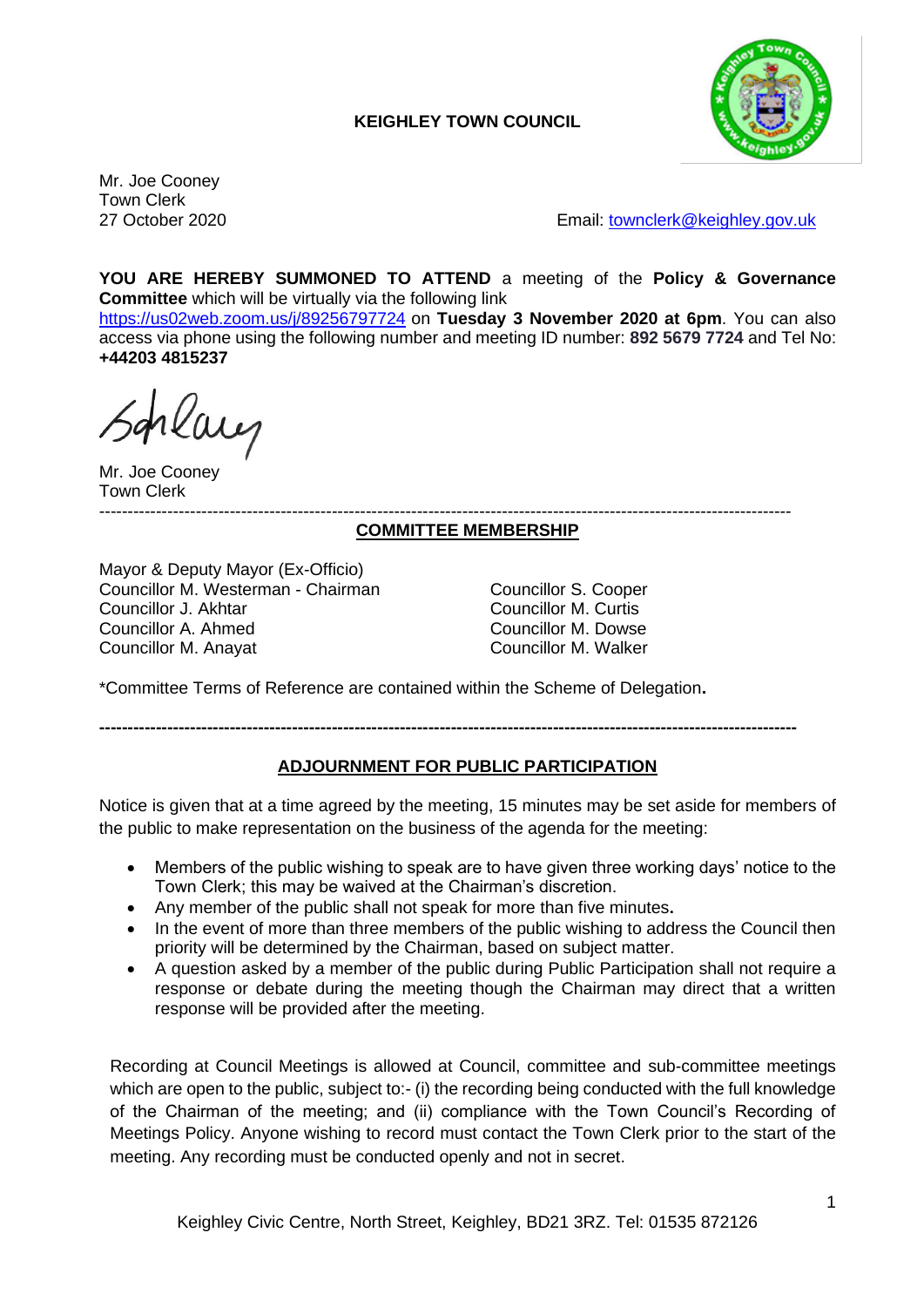

Mr. Joe Cooney Town Clerk

27 October 2020 Email: [townclerk@keighley.gov.uk](mailto:townclerk@keighley.gov.uk)

**YOU ARE HEREBY SUMMONED TO ATTEND** a meeting of the **Policy & Governance Committee** which will be virtually via the following link

<https://us02web.zoom.us/j/89256797724> on **Tuesday 3 November 2020 at 6pm**. You can also access via phone using the following number and meeting ID number: **892 5679 7724** and Tel No: **+44203 4815237**

rlacy

Mr. Joe Cooney Town Clerk

#### -------------------------------------------------------------------------------------------------------------------------- **COMMITTEE MEMBERSHIP**

Mayor & Deputy Mayor (Ex-Officio) Councillor M. Westerman - Chairman **Councillor S. Cooper**<br>Councillor J. Akhtar Councillor M. Curtis Councillor J. Akhtar Councillor A. Ahmed Councillor M. Dowse Councillor M. Anayat Councillor M. Walker

\*Committee Terms of Reference are contained within the Scheme of Delegation**.**

**---------------------------------------------------------------------------------------------------------------------------**

#### **ADJOURNMENT FOR PUBLIC PARTICIPATION**

Notice is given that at a time agreed by the meeting, 15 minutes may be set aside for members of the public to make representation on the business of the agenda for the meeting:

- Members of the public wishing to speak are to have given three working days' notice to the Town Clerk; this may be waived at the Chairman's discretion.
- Any member of the public shall not speak for more than five minutes**.**
- In the event of more than three members of the public wishing to address the Council then priority will be determined by the Chairman, based on subject matter.
- A question asked by a member of the public during Public Participation shall not require a response or debate during the meeting though the Chairman may direct that a written response will be provided after the meeting.

Recording at Council Meetings is allowed at Council, committee and sub-committee meetings which are open to the public, subject to:- (i) the recording being conducted with the full knowledge of the Chairman of the meeting; and (ii) compliance with the Town Council's Recording of Meetings Policy. Anyone wishing to record must contact the Town Clerk prior to the start of the meeting. Any recording must be conducted openly and not in secret.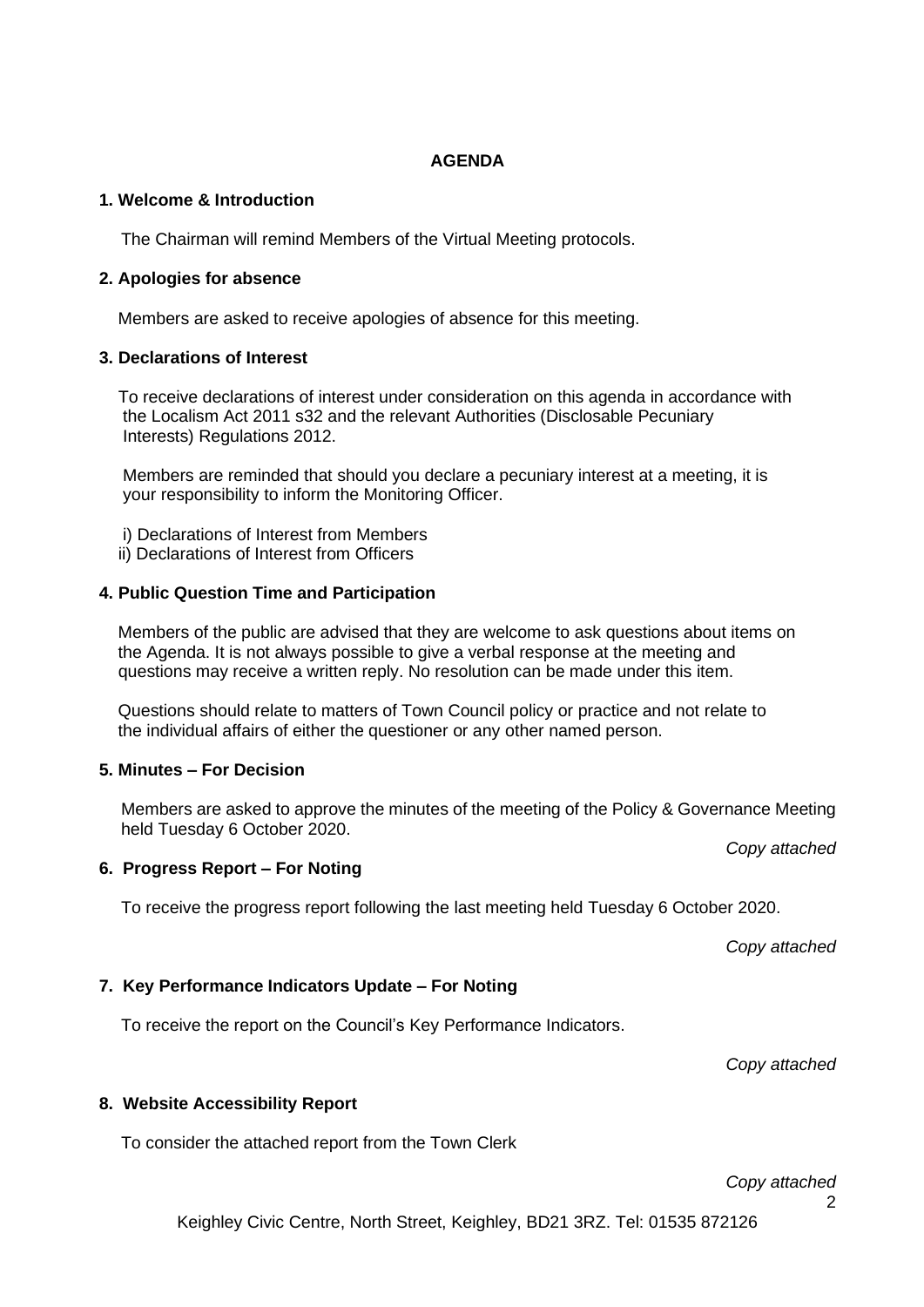#### **AGENDA**

#### **1. Welcome & Introduction**

The Chairman will remind Members of the Virtual Meeting protocols.

#### **2. Apologies for absence**

Members are asked to receive apologies of absence for this meeting.

#### **3. Declarations of Interest**

 To receive declarations of interest under consideration on this agenda in accordance with the Localism Act 2011 s32 and the relevant Authorities (Disclosable Pecuniary Interests) Regulations 2012.

 Members are reminded that should you declare a pecuniary interest at a meeting, it is your responsibility to inform the Monitoring Officer.

- i) Declarations of Interest from Members
- ii) Declarations of Interest from Officers

#### **4. Public Question Time and Participation**

 Members of the public are advised that they are welcome to ask questions about items on the Agenda. It is not always possible to give a verbal response at the meeting and questions may receive a written reply. No resolution can be made under this item.

 Questions should relate to matters of Town Council policy or practice and not relate to the individual affairs of either the questioner or any other named person.

#### **5. Minutes – For Decision**

Members are asked to approve the minutes of the meeting of the Policy & Governance Meeting held Tuesday 6 October 2020.

*Copy attached*

#### **6. Progress Report – For Noting**

To receive the progress report following the last meeting held Tuesday 6 October 2020.

*Copy attached*

#### **7. Key Performance Indicators Update – For Noting**

To receive the report on the Council's Key Performance Indicators.

*Copy attached*

#### **8. Website Accessibility Report**

To consider the attached report from the Town Clerk

Keighley Civic Centre, North Street, Keighley, BD21 3RZ. Tel: 01535 872126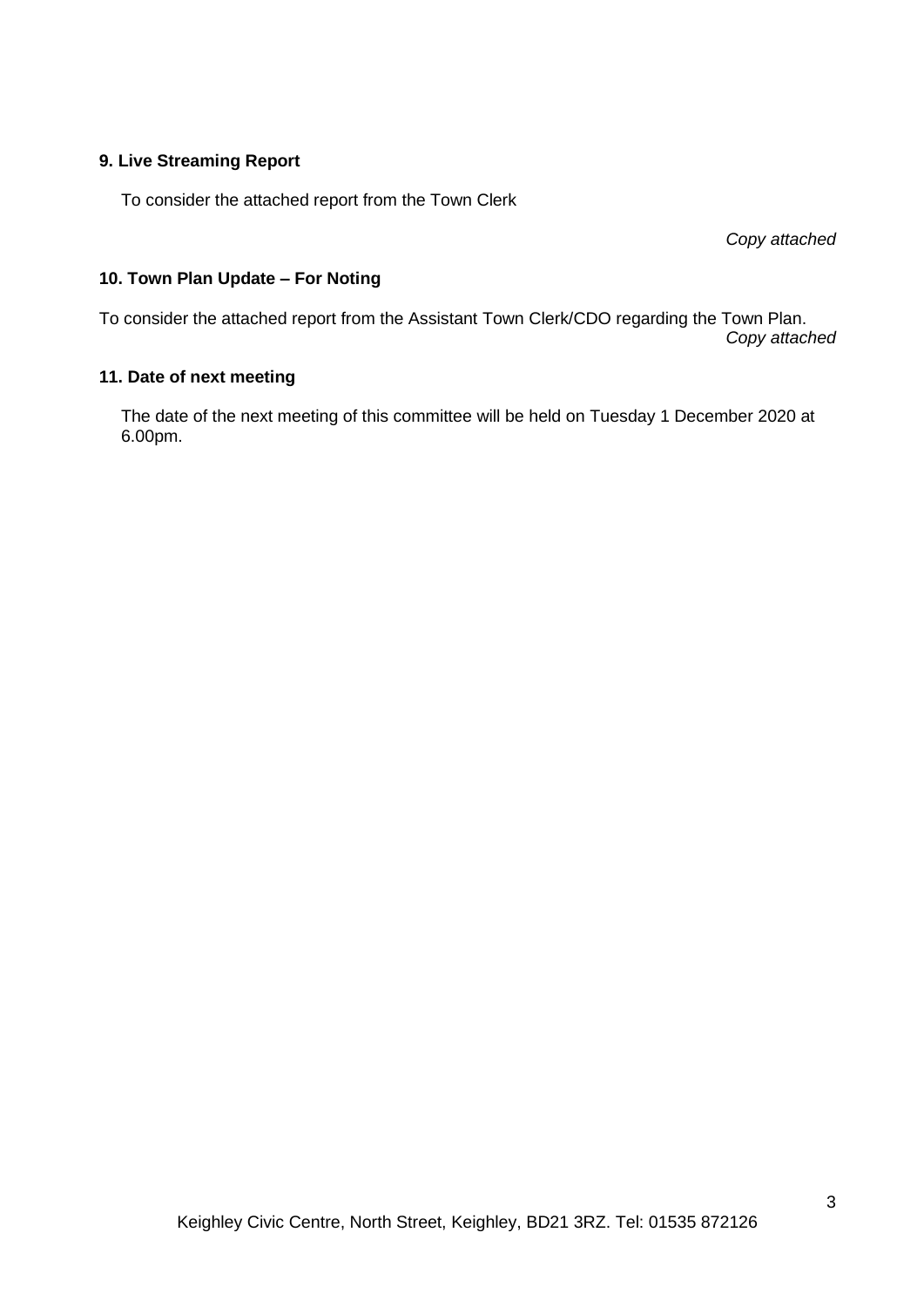#### **9. Live Streaming Report**

To consider the attached report from the Town Clerk

*Copy attached*

#### **10. Town Plan Update – For Noting**

To consider the attached report from the Assistant Town Clerk/CDO regarding the Town Plan. *Copy attached*

#### **11. Date of next meeting**

The date of the next meeting of this committee will be held on Tuesday 1 December 2020 at 6.00pm.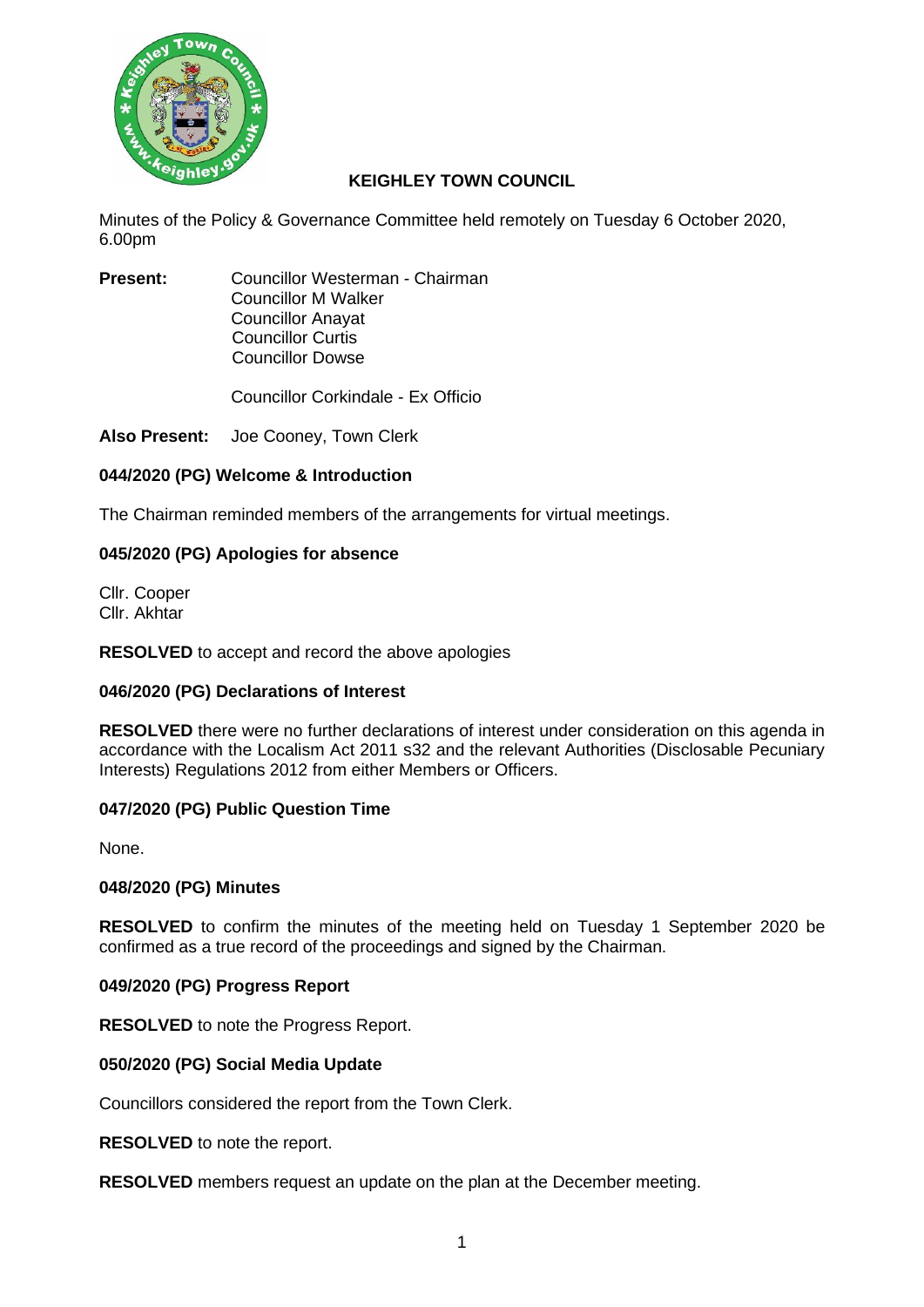

Minutes of the Policy & Governance Committee held remotely on Tuesday 6 October 2020, 6.00pm

**Present:** Councillor Westerman - Chairman Councillor M Walker Councillor Anayat Councillor Curtis Councillor Dowse

Councillor Corkindale - Ex Officio

**Also Present:** Joe Cooney, Town Clerk

#### **044/2020 (PG) Welcome & Introduction**

The Chairman reminded members of the arrangements for virtual meetings.

#### **045/2020 (PG) Apologies for absence**

Cllr. Cooper Cllr. Akhtar

**RESOLVED** to accept and record the above apologies

#### **046/2020 (PG) Declarations of Interest**

**RESOLVED** there were no further declarations of interest under consideration on this agenda in accordance with the Localism Act 2011 s32 and the relevant Authorities (Disclosable Pecuniary Interests) Regulations 2012 from either Members or Officers.

#### **047/2020 (PG) Public Question Time**

None.

#### **048/2020 (PG) Minutes**

**RESOLVED** to confirm the minutes of the meeting held on Tuesday 1 September 2020 be confirmed as a true record of the proceedings and signed by the Chairman.

#### **049/2020 (PG) Progress Report**

**RESOLVED** to note the Progress Report.

#### **050/2020 (PG) Social Media Update**

Councillors considered the report from the Town Clerk.

**RESOLVED** to note the report.

**RESOLVED** members request an update on the plan at the December meeting.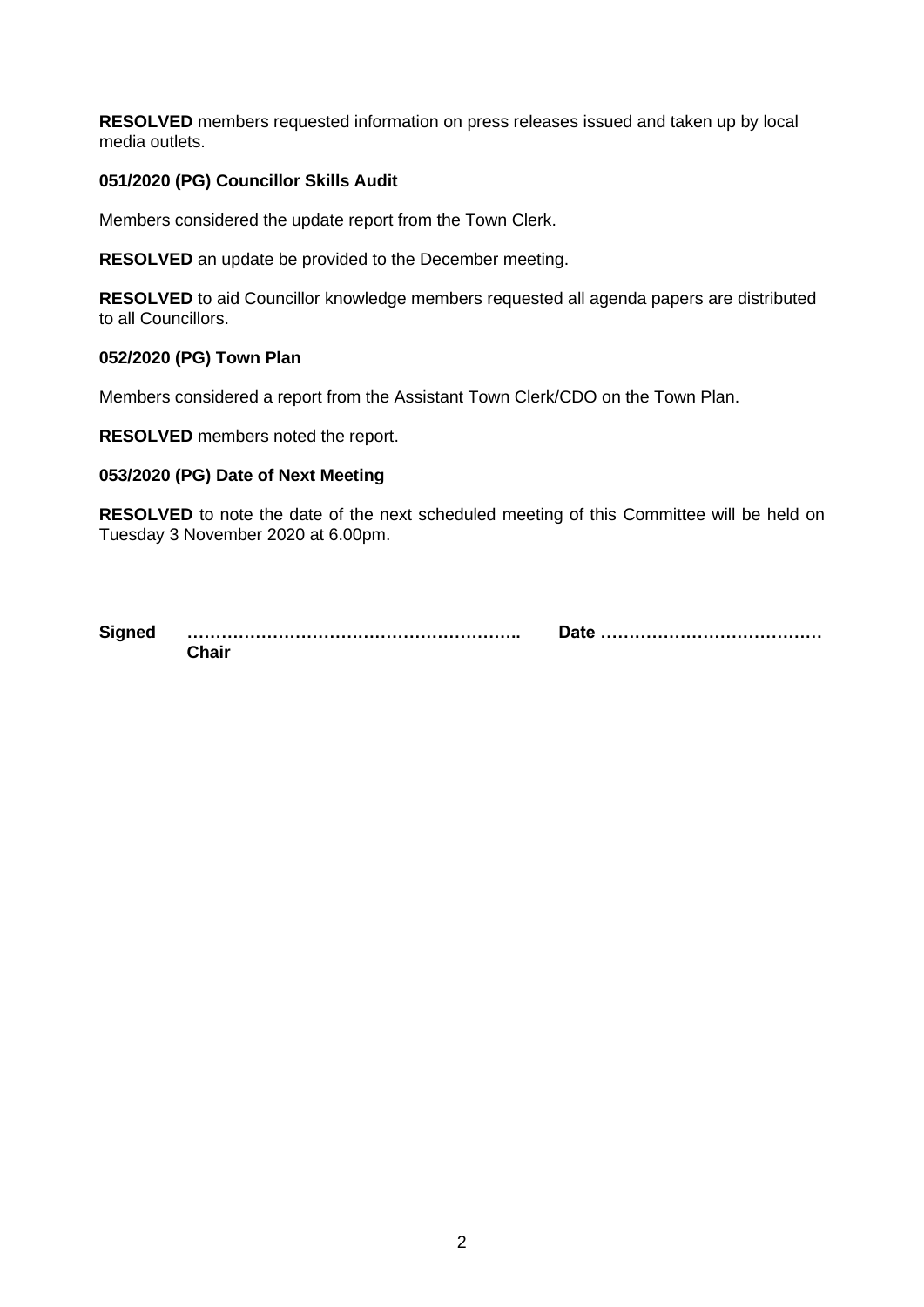**RESOLVED** members requested information on press releases issued and taken up by local media outlets.

#### **051/2020 (PG) Councillor Skills Audit**

Members considered the update report from the Town Clerk.

**RESOLVED** an update be provided to the December meeting.

**RESOLVED** to aid Councillor knowledge members requested all agenda papers are distributed to all Councillors.

#### **052/2020 (PG) Town Plan**

Members considered a report from the Assistant Town Clerk/CDO on the Town Plan.

**RESOLVED** members noted the report.

#### **053/2020 (PG) Date of Next Meeting**

**RESOLVED** to note the date of the next scheduled meeting of this Committee will be held on Tuesday 3 November 2020 at 6.00pm.

**Signed ………………………………………………….. Date ………………………………… Chair**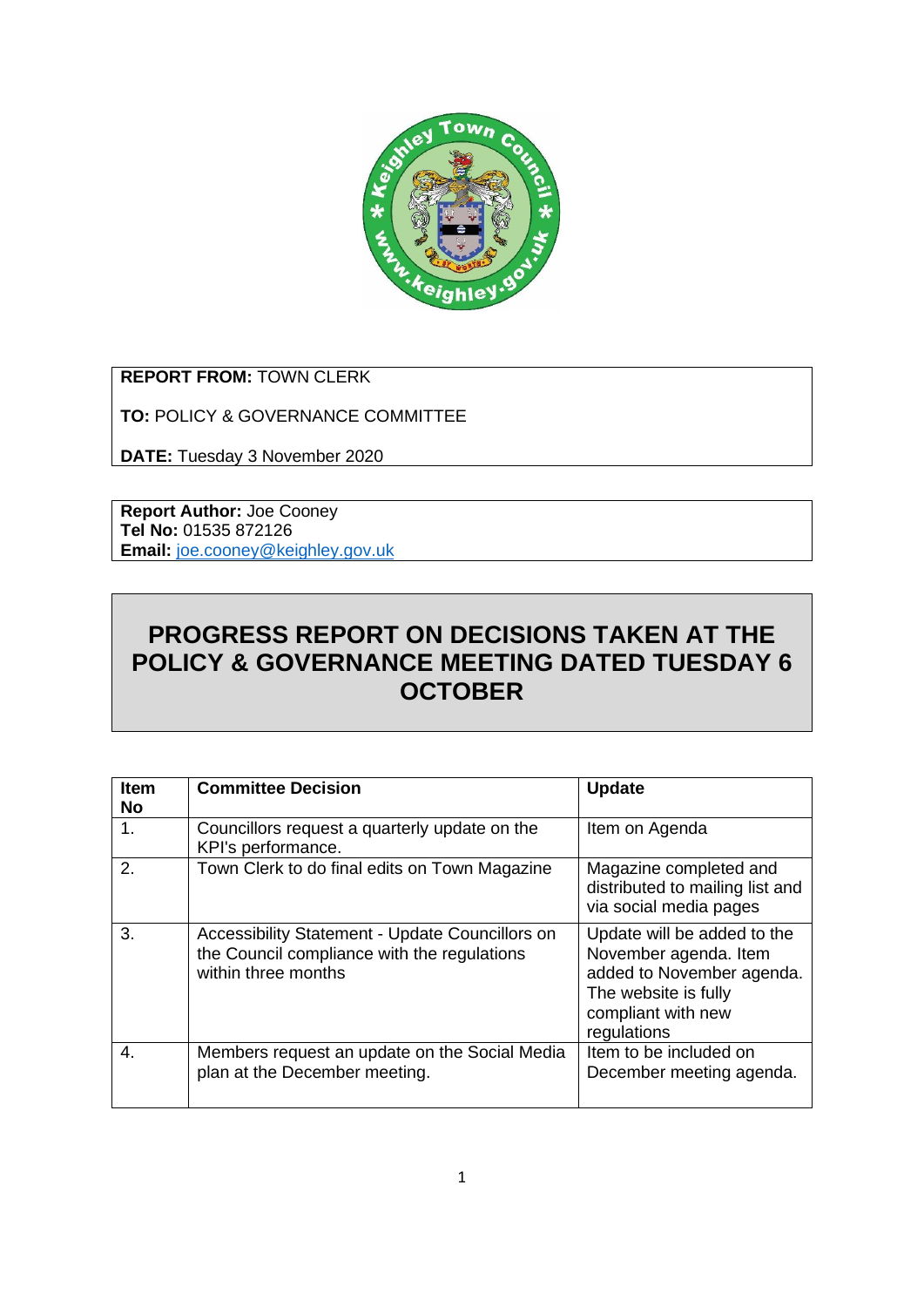

**REPORT FROM:** TOWN CLERK

**TO:** POLICY & GOVERNANCE COMMITTEE

**DATE:** Tuesday 3 November 2020

**Report Author:** Joe Cooney **Tel No:** 01535 872126 **Email:** [joe.cooney@keighley.gov.uk](mailto:joe.cooney@keighley.gov.uk)

# **PROGRESS REPORT ON DECISIONS TAKEN AT THE POLICY & GOVERNANCE MEETING DATED TUESDAY 6 OCTOBER**

| <b>Item</b><br><b>No</b> | <b>Committee Decision</b>                                                                                             | <b>Update</b>                                                                                                                                  |
|--------------------------|-----------------------------------------------------------------------------------------------------------------------|------------------------------------------------------------------------------------------------------------------------------------------------|
| 1.                       | Councillors request a quarterly update on the<br>KPI's performance.                                                   | Item on Agenda                                                                                                                                 |
| 2.                       | Town Clerk to do final edits on Town Magazine                                                                         | Magazine completed and<br>distributed to mailing list and<br>via social media pages                                                            |
| 3.                       | Accessibility Statement - Update Councillors on<br>the Council compliance with the regulations<br>within three months | Update will be added to the<br>November agenda. Item<br>added to November agenda.<br>The website is fully<br>compliant with new<br>regulations |
| 4.                       | Members request an update on the Social Media<br>plan at the December meeting.                                        | Item to be included on<br>December meeting agenda.                                                                                             |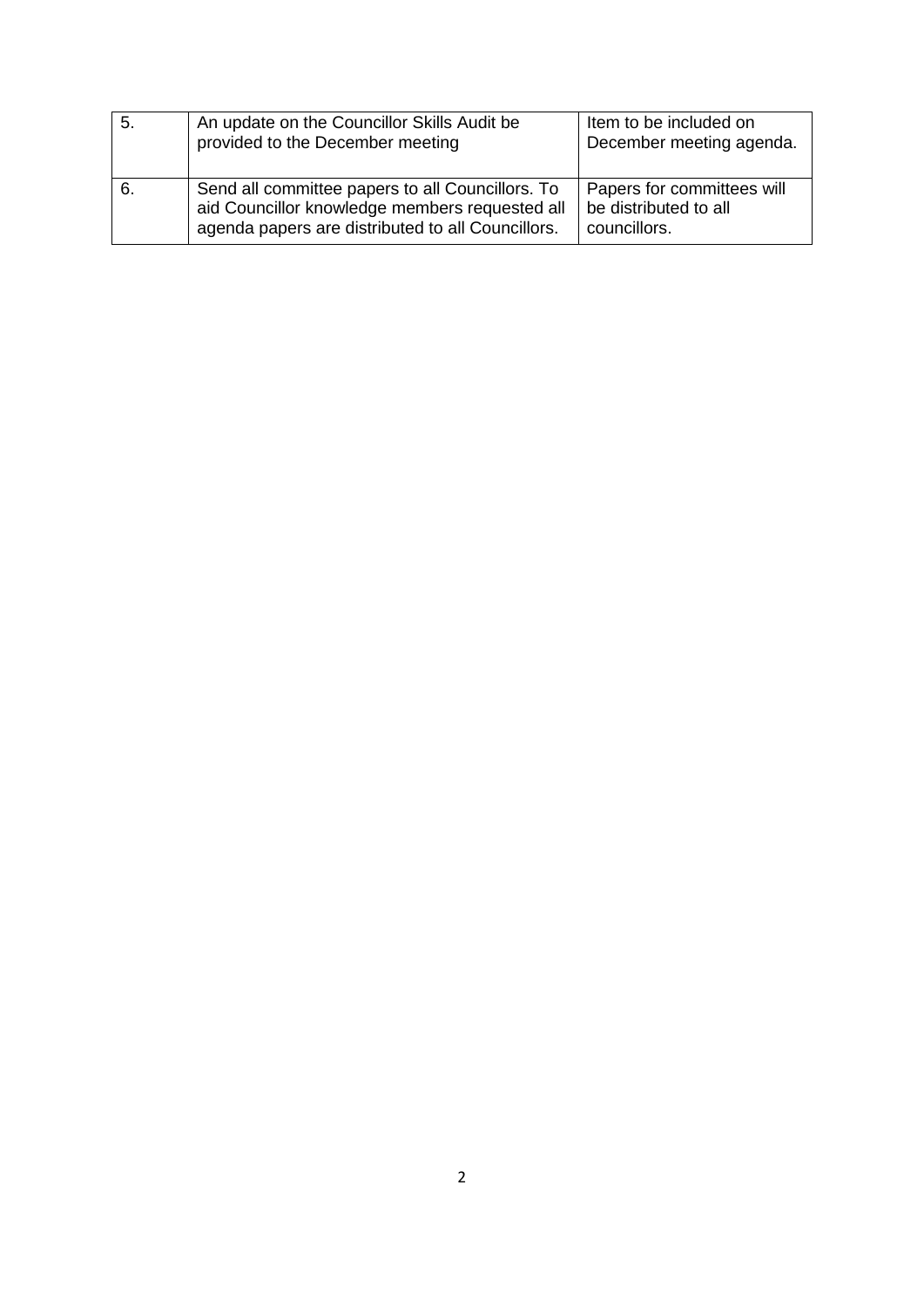| 5. | An update on the Councillor Skills Audit be<br>provided to the December meeting                                                                         | Item to be included on<br>December meeting agenda.                  |
|----|---------------------------------------------------------------------------------------------------------------------------------------------------------|---------------------------------------------------------------------|
| 6. | Send all committee papers to all Councillors. To<br>aid Councillor knowledge members requested all<br>agenda papers are distributed to all Councillors. | Papers for committees will<br>be distributed to all<br>councillors. |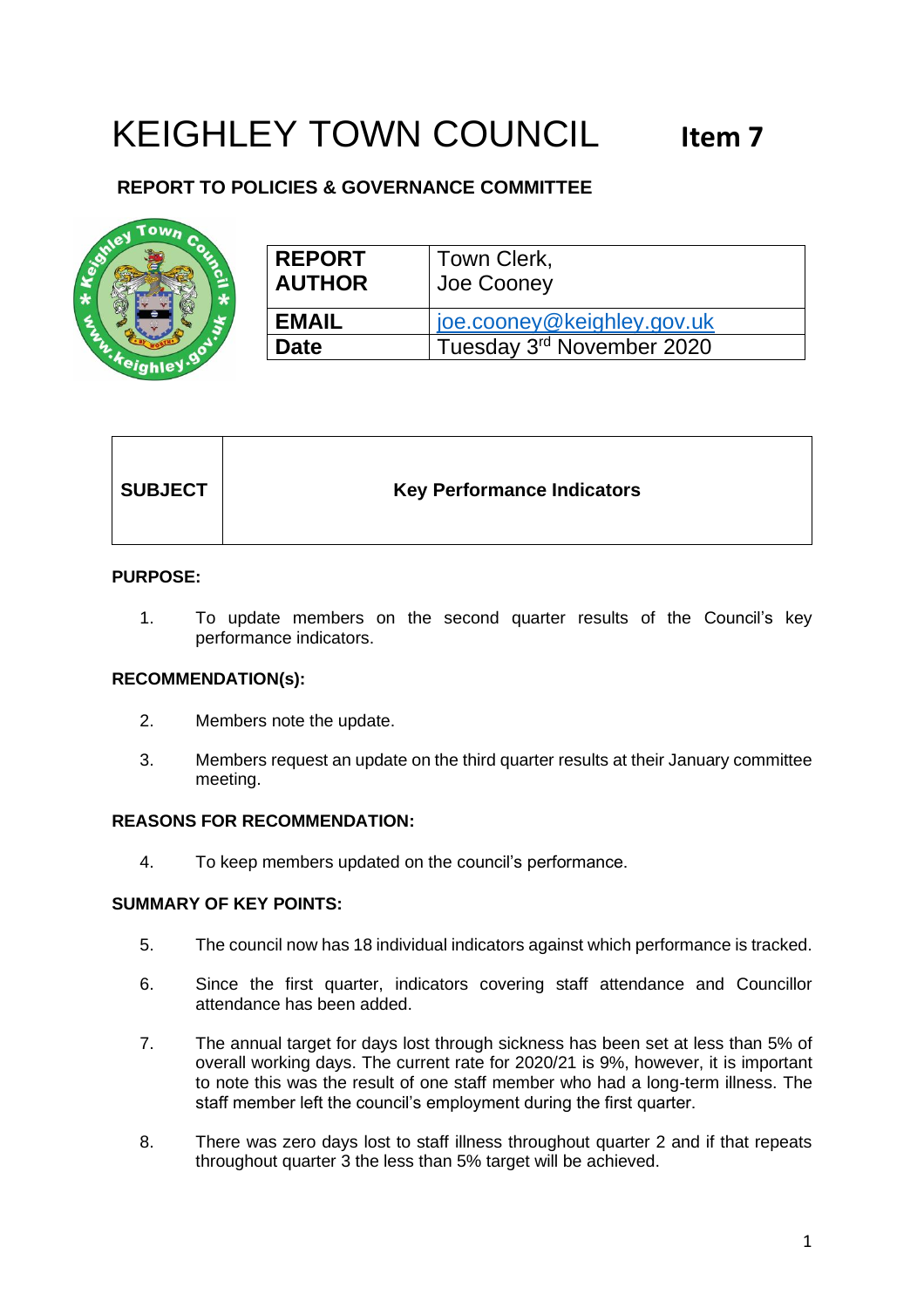# **REPORT TO POLICIES & GOVERNANCE COMMITTEE**



| <b>REPORT</b><br><b>AUTHOR</b> | Town Clerk,<br>Joe Cooney  |
|--------------------------------|----------------------------|
| <b>EMAIL</b>                   | joe.cooney@keighley.gov.uk |
| <b>Date</b>                    | Tuesday 3rd November 2020  |

| <b>SUBJECT</b> | <b>Key Performance Indicators</b> |
|----------------|-----------------------------------|
|                |                                   |

#### **PURPOSE:**

1. To update members on the second quarter results of the Council's key performance indicators.

#### **RECOMMENDATION(s):**

- 2. Members note the update.
- 3. Members request an update on the third quarter results at their January committee meeting.

#### **REASONS FOR RECOMMENDATION:**

4. To keep members updated on the council's performance.

#### **SUMMARY OF KEY POINTS:**

- 5. The council now has 18 individual indicators against which performance is tracked.
- 6. Since the first quarter, indicators covering staff attendance and Councillor attendance has been added.
- 7. The annual target for days lost through sickness has been set at less than 5% of overall working days. The current rate for 2020/21 is 9%, however, it is important to note this was the result of one staff member who had a long-term illness. The staff member left the council's employment during the first quarter.
- 8. There was zero days lost to staff illness throughout quarter 2 and if that repeats throughout quarter 3 the less than 5% target will be achieved.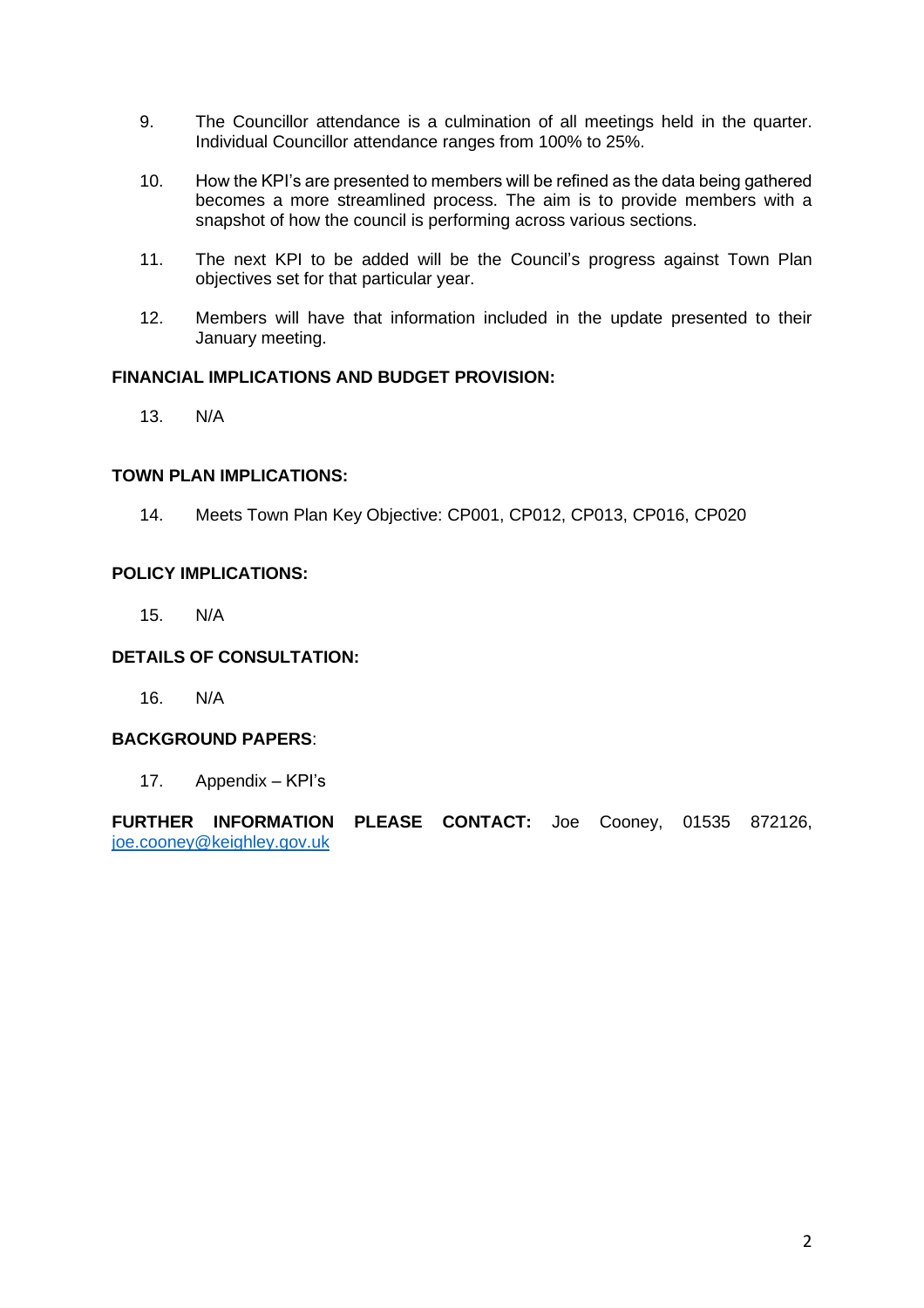- 9. The Councillor attendance is a culmination of all meetings held in the quarter. Individual Councillor attendance ranges from 100% to 25%.
- 10. How the KPI's are presented to members will be refined as the data being gathered becomes a more streamlined process. The aim is to provide members with a snapshot of how the council is performing across various sections.
- 11. The next KPI to be added will be the Council's progress against Town Plan objectives set for that particular year.
- 12. Members will have that information included in the update presented to their January meeting.

#### **FINANCIAL IMPLICATIONS AND BUDGET PROVISION:**

13. N/A

#### **TOWN PLAN IMPLICATIONS:**

14. Meets Town Plan Key Objective: CP001, CP012, CP013, CP016, CP020

#### **POLICY IMPLICATIONS:**

15. N/A

#### **DETAILS OF CONSULTATION:**

16. N/A

#### **BACKGROUND PAPERS**:

17. Appendix – KPI's

**FURTHER INFORMATION PLEASE CONTACT:** Joe Cooney, 01535 872126, [joe.cooney@keighley.gov.uk](mailto:joe.cooney@keighley.gov.uk)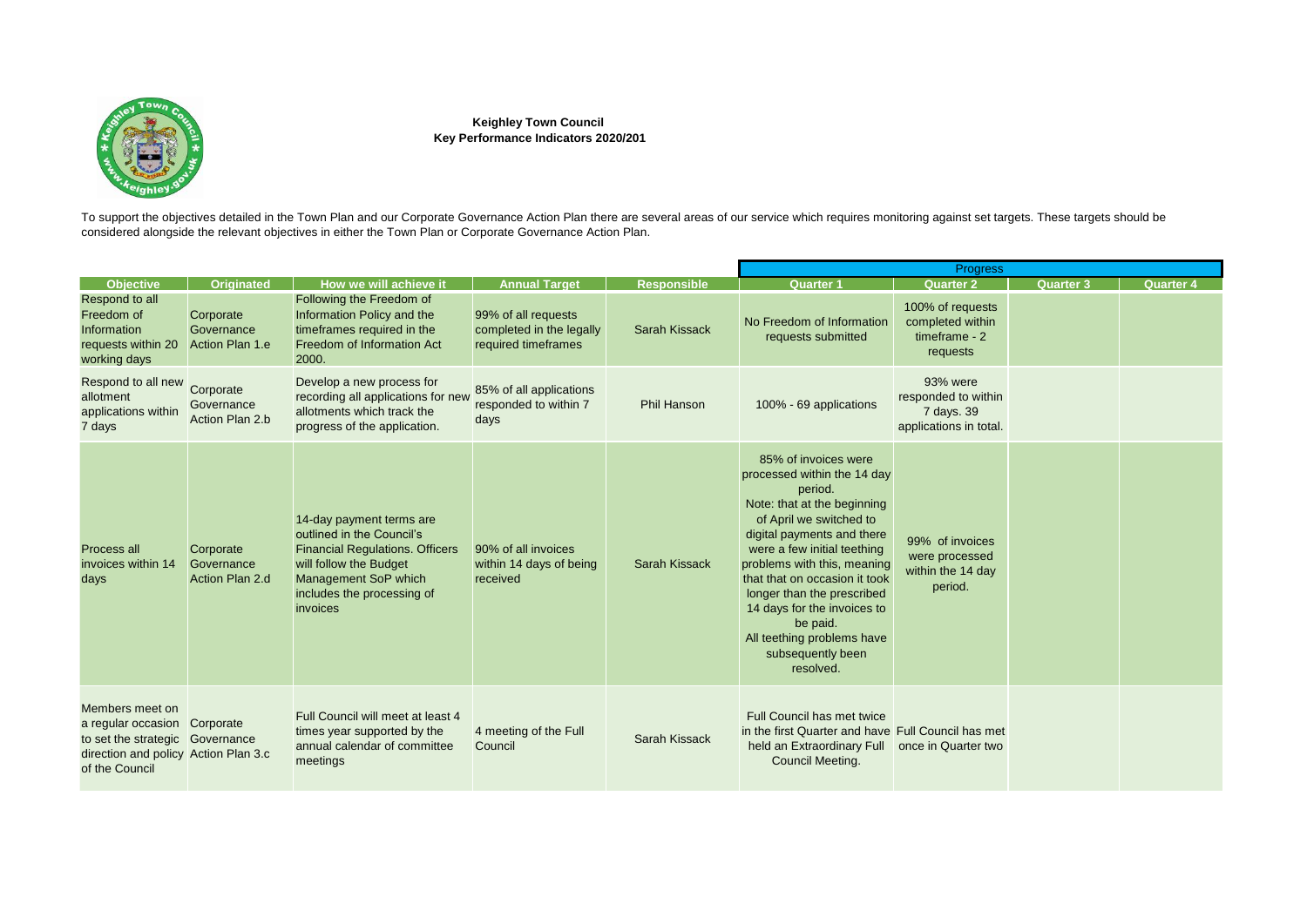

**Keighley Town Council Key Performance Indicators 2020/201**

To support the objectives detailed in the Town Plan and our Corporate Governance Action Plan there are several areas of our service which requires monitoring against set targets. These targets should be considered alongside the relevant objectives in either the Town Plan or Corporate Governance Action Plan.

|                                                                                                                                              |                                            |                                                                                                                                                                                             |                                                                        |                    |                                                                                                                                                                                                                                                                                                                                                                                                | <b>Progress</b>                                                         |                  |           |
|----------------------------------------------------------------------------------------------------------------------------------------------|--------------------------------------------|---------------------------------------------------------------------------------------------------------------------------------------------------------------------------------------------|------------------------------------------------------------------------|--------------------|------------------------------------------------------------------------------------------------------------------------------------------------------------------------------------------------------------------------------------------------------------------------------------------------------------------------------------------------------------------------------------------------|-------------------------------------------------------------------------|------------------|-----------|
| <b>Objective</b>                                                                                                                             | <b>Originated</b>                          | How we will achieve it                                                                                                                                                                      | <b>Annual Target</b>                                                   | <b>Responsible</b> | <b>Quarter 1</b>                                                                                                                                                                                                                                                                                                                                                                               | <b>Quarter 2</b>                                                        | <b>Quarter 3</b> | Quarter 4 |
| Respond to all<br>Freedom of<br>Information<br>requests within 20<br>working days                                                            | Corporate<br>Governance<br>Action Plan 1.e | Following the Freedom of<br>Information Policy and the<br>timeframes required in the<br>Freedom of Information Act<br>2000.                                                                 | 99% of all requests<br>completed in the legally<br>required timeframes | Sarah Kissack      | No Freedom of Information<br>requests submitted                                                                                                                                                                                                                                                                                                                                                | 100% of requests<br>completed within<br>timeframe - 2<br>requests       |                  |           |
| Respond to all new<br>allotment<br>applications within<br>7 days                                                                             | Corporate<br>Governance<br>Action Plan 2.b | Develop a new process for<br>recording all applications for new<br>allotments which track the<br>progress of the application.                                                               | 85% of all applications<br>responded to within 7<br>days               | Phil Hanson        | 100% - 69 applications                                                                                                                                                                                                                                                                                                                                                                         | 93% were<br>responded to within<br>7 days. 39<br>applications in total. |                  |           |
| Process all<br>invoices within 14<br>days                                                                                                    | Corporate<br>Governance<br>Action Plan 2.d | 14-day payment terms are<br>outlined in the Council's<br><b>Financial Regulations. Officers</b><br>will follow the Budget<br>Management SoP which<br>includes the processing of<br>invoices | 90% of all invoices<br>within 14 days of being<br>received             | Sarah Kissack      | 85% of invoices were<br>processed within the 14 day<br>period.<br>Note: that at the beginning<br>of April we switched to<br>digital payments and there<br>were a few initial teething<br>problems with this, meaning<br>that that on occasion it took<br>longer than the prescribed<br>14 days for the invoices to<br>be paid.<br>All teething problems have<br>subsequently been<br>resolved. | 99% of invoices<br>were processed<br>within the 14 day<br>period.       |                  |           |
| Members meet on<br>a regular occasion Corporate<br>to set the strategic Governance<br>direction and policy Action Plan 3.c<br>of the Council |                                            | Full Council will meet at least 4<br>times year supported by the<br>annual calendar of committee<br>meetings                                                                                | 4 meeting of the Full<br>Council                                       | Sarah Kissack      | Full Council has met twice<br>in the first Quarter and have Full Council has met<br>held an Extraordinary Full once in Quarter two<br>Council Meeting.                                                                                                                                                                                                                                         |                                                                         |                  |           |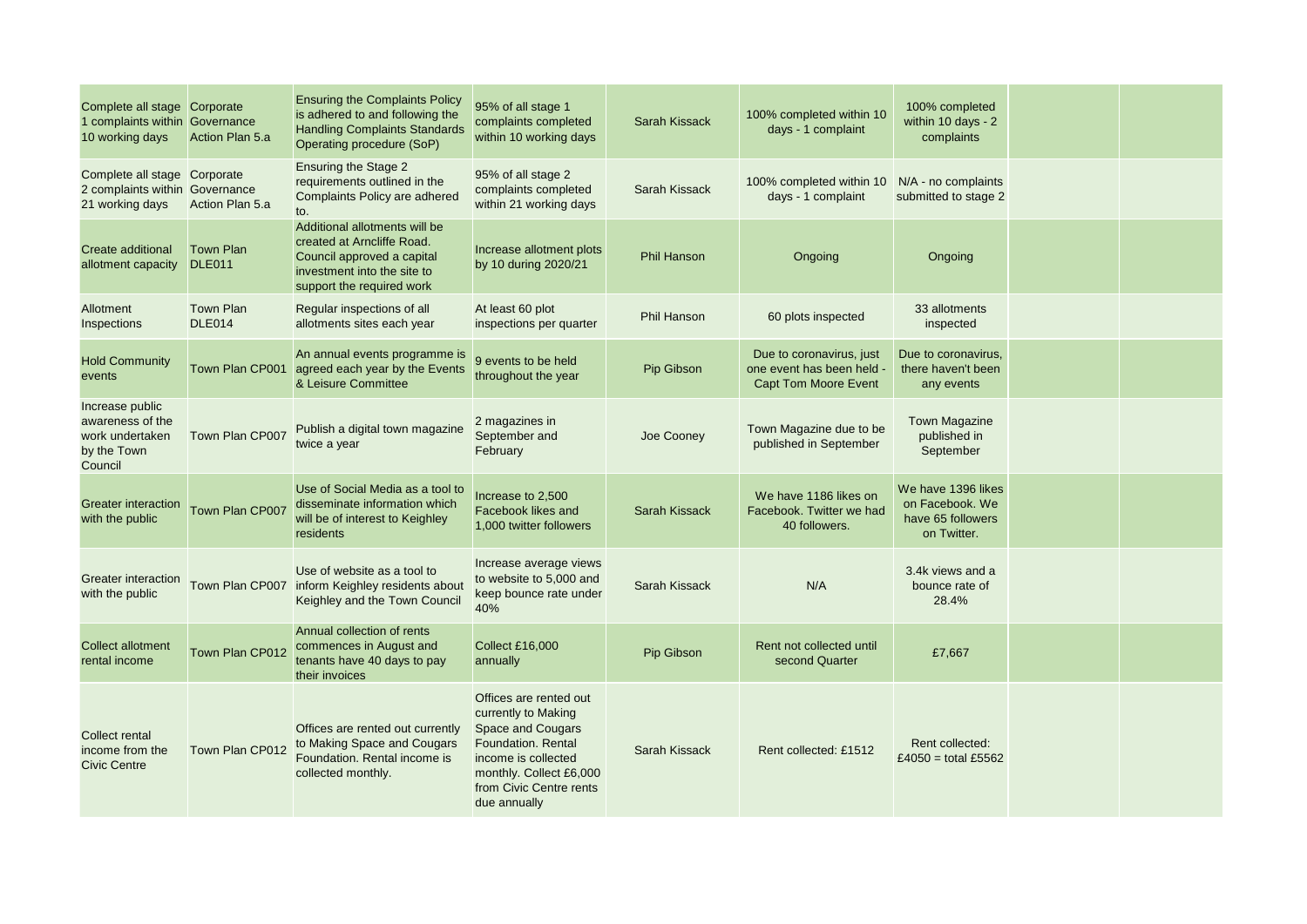| Complete all stage Corporate<br>1 complaints within Governance<br>10 working days | Action Plan 5.a                   | <b>Ensuring the Complaints Policy</b><br>is adhered to and following the<br><b>Handling Complaints Standards</b><br>Operating procedure (SoP)         | 95% of all stage 1<br>complaints completed<br>within 10 working days                                                                                                                                | Sarah Kissack        | 100% completed within 10<br>days - 1 complaint                                       | 100% completed<br>within 10 days - 2<br>complaints                        |  |
|-----------------------------------------------------------------------------------|-----------------------------------|-------------------------------------------------------------------------------------------------------------------------------------------------------|-----------------------------------------------------------------------------------------------------------------------------------------------------------------------------------------------------|----------------------|--------------------------------------------------------------------------------------|---------------------------------------------------------------------------|--|
| Complete all stage Corporate<br>2 complaints within<br>21 working days            | Governance<br>Action Plan 5.a     | <b>Ensuring the Stage 2</b><br>requirements outlined in the<br>Complaints Policy are adhered<br>to.                                                   | 95% of all stage 2<br>complaints completed<br>within 21 working days                                                                                                                                | Sarah Kissack        | 100% completed within 10<br>days - 1 complaint                                       | N/A - no complaints<br>submitted to stage 2                               |  |
| Create additional<br>allotment capacity                                           | <b>Town Plan</b><br><b>DLE011</b> | Additional allotments will be<br>created at Arncliffe Road.<br>Council approved a capital<br>investment into the site to<br>support the required work | Increase allotment plots<br>by 10 during 2020/21                                                                                                                                                    | <b>Phil Hanson</b>   | Ongoing                                                                              | Ongoing                                                                   |  |
| Allotment<br>Inspections                                                          | <b>Town Plan</b><br><b>DLE014</b> | Regular inspections of all<br>allotments sites each year                                                                                              | At least 60 plot<br>inspections per quarter                                                                                                                                                         | Phil Hanson          | 60 plots inspected                                                                   | 33 allotments<br>inspected                                                |  |
| <b>Hold Community</b><br>events                                                   | Town Plan CP001                   | An annual events programme is<br>agreed each year by the Events<br>& Leisure Committee                                                                | 9 events to be held<br>throughout the year                                                                                                                                                          | Pip Gibson           | Due to coronavirus, just<br>one event has been held -<br><b>Capt Tom Moore Event</b> | Due to coronavirus,<br>there haven't been<br>any events                   |  |
| Increase public<br>awareness of the<br>work undertaken<br>by the Town<br>Council  | Town Plan CP007                   | Publish a digital town magazine<br>twice a year                                                                                                       | 2 magazines in<br>September and<br>February                                                                                                                                                         | Joe Cooney           | Town Magazine due to be<br>published in September                                    | <b>Town Magazine</b><br>published in<br>September                         |  |
| Greater interaction<br>with the public                                            | Town Plan CP007                   | Use of Social Media as a tool to<br>disseminate information which<br>will be of interest to Keighley<br>residents                                     | Increase to 2,500<br>Facebook likes and<br>1,000 twitter followers                                                                                                                                  | <b>Sarah Kissack</b> | We have 1186 likes on<br>Facebook. Twitter we had<br>40 followers.                   | We have 1396 likes<br>on Facebook, We<br>have 65 followers<br>on Twitter. |  |
| <b>Greater interaction</b><br>with the public                                     |                                   | Use of website as a tool to<br>Town Plan CP007 inform Keighley residents about<br>Keighley and the Town Council                                       | Increase average views<br>to website to 5,000 and<br>keep bounce rate under<br>40%                                                                                                                  | Sarah Kissack        | N/A                                                                                  | 3.4k views and a<br>bounce rate of<br>28.4%                               |  |
| <b>Collect allotment</b><br>rental income                                         | Town Plan CP012                   | Annual collection of rents<br>commences in August and<br>tenants have 40 days to pay<br>their invoices                                                | Collect £16,000<br>annually                                                                                                                                                                         | Pip Gibson           | Rent not collected until<br>second Quarter                                           | £7,667                                                                    |  |
| Collect rental<br>income from the<br><b>Civic Centre</b>                          | Town Plan CP012                   | Offices are rented out currently<br>to Making Space and Cougars<br>Foundation. Rental income is<br>collected monthly.                                 | Offices are rented out<br>currently to Making<br><b>Space and Cougars</b><br><b>Foundation, Rental</b><br>income is collected<br>monthly. Collect £6,000<br>from Civic Centre rents<br>due annually | Sarah Kissack        | Rent collected: £1512                                                                | Rent collected:<br>$£4050 = total £5562$                                  |  |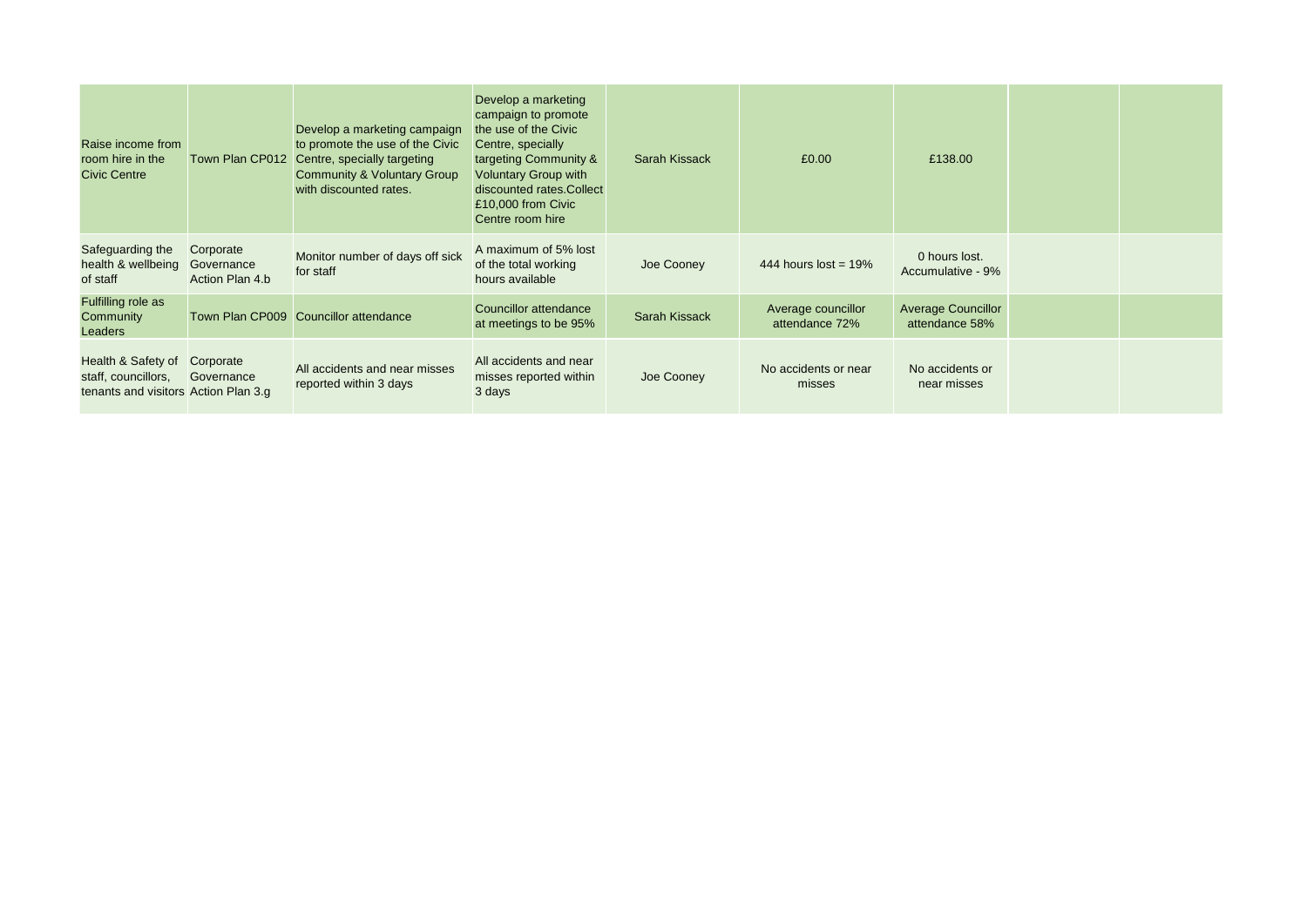| Raise income from<br>room hire in the<br><b>Civic Centre</b>                      | Town Plan CP012                            | Develop a marketing campaign<br>to promote the use of the Civic<br>Centre, specially targeting<br><b>Community &amp; Voluntary Group</b><br>with discounted rates. | Develop a marketing<br>campaign to promote<br>the use of the Civic<br>Centre, specially<br>targeting Community &<br><b>Voluntary Group with</b><br>discounted rates.Collect<br>£10,000 from Civic<br>Centre room hire | Sarah Kissack | £0.00                                | £138.00                                     |  |
|-----------------------------------------------------------------------------------|--------------------------------------------|--------------------------------------------------------------------------------------------------------------------------------------------------------------------|-----------------------------------------------------------------------------------------------------------------------------------------------------------------------------------------------------------------------|---------------|--------------------------------------|---------------------------------------------|--|
| Safeguarding the<br>health & wellbeing<br>of staff                                | Corporate<br>Governance<br>Action Plan 4.b | Monitor number of days off sick<br>for staff                                                                                                                       | A maximum of 5% lost<br>of the total working<br>hours available                                                                                                                                                       | Joe Cooney    | 444 hours lost = $19\%$              | 0 hours lost.<br>Accumulative - 9%          |  |
| Fulfilling role as<br>Community<br>Leaders                                        |                                            | Town Plan CP009 Councillor attendance                                                                                                                              | Councillor attendance<br>at meetings to be 95%                                                                                                                                                                        | Sarah Kissack | Average councillor<br>attendance 72% | <b>Average Councillor</b><br>attendance 58% |  |
| Health & Safety of<br>staff, councillors,<br>tenants and visitors Action Plan 3.g | Corporate<br>Governance                    | All accidents and near misses<br>reported within 3 days                                                                                                            | All accidents and near<br>misses reported within<br>3 days                                                                                                                                                            | Joe Cooney    | No accidents or near<br>misses       | No accidents or<br>near misses              |  |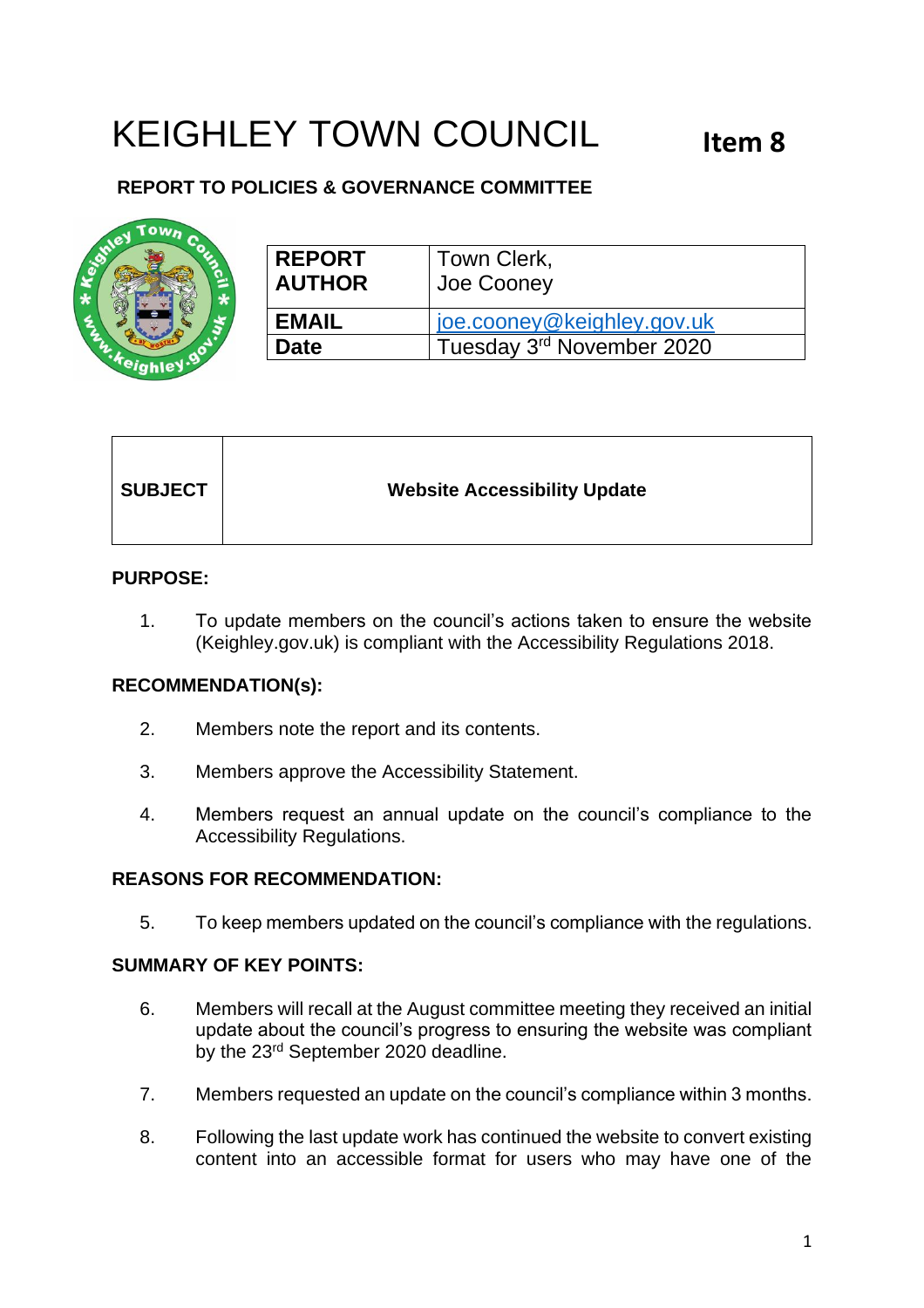# **REPORT TO POLICIES & GOVERNANCE COMMITTEE**



| <b>REPORT</b><br><b>AUTHOR</b> | Town Clerk,<br>Joe Cooney  |
|--------------------------------|----------------------------|
| <b>EMAIL</b>                   | joe.cooney@keighley.gov.uk |
| <b>Date</b>                    | Tuesday 3rd November 2020  |

| <b>SUBJECT</b> | <b>Website Accessibility Update</b> |
|----------------|-------------------------------------|
|----------------|-------------------------------------|

#### **PURPOSE:**

1. To update members on the council's actions taken to ensure the website (Keighley.gov.uk) is compliant with the Accessibility Regulations 2018.

#### **RECOMMENDATION(s):**

- 2. Members note the report and its contents.
- 3. Members approve the Accessibility Statement.
- 4. Members request an annual update on the council's compliance to the Accessibility Regulations.

#### **REASONS FOR RECOMMENDATION:**

5. To keep members updated on the council's compliance with the regulations.

#### **SUMMARY OF KEY POINTS:**

- 6. Members will recall at the August committee meeting they received an initial update about the council's progress to ensuring the website was compliant by the 23<sup>rd</sup> September 2020 deadline.
- 7. Members requested an update on the council's compliance within 3 months.
- 8. Following the last update work has continued the website to convert existing content into an accessible format for users who may have one of the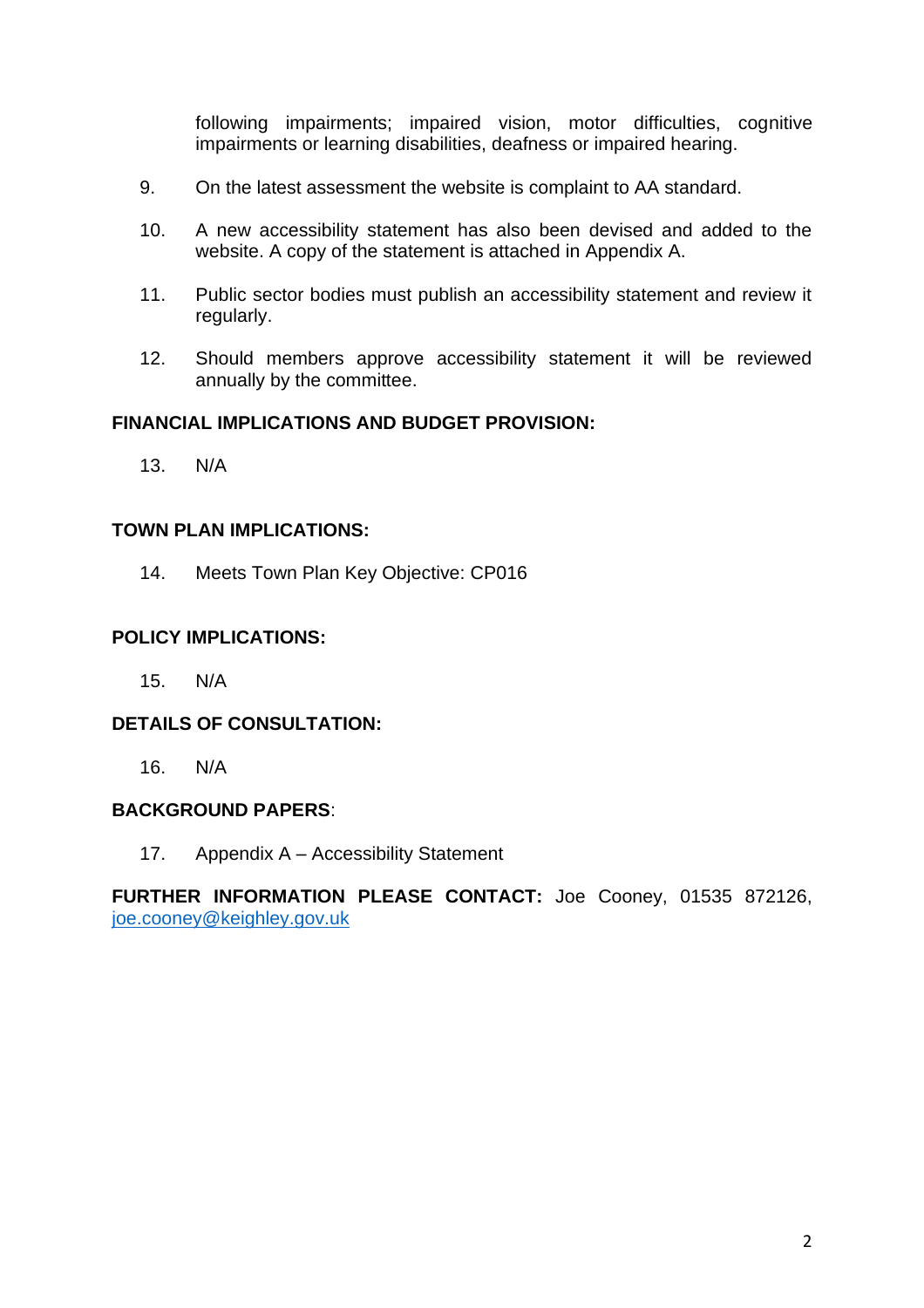following impairments; impaired vision, motor difficulties, cognitive impairments or learning disabilities, deafness or impaired hearing.

- 9. On the latest assessment the website is complaint to AA standard.
- 10. A new accessibility statement has also been devised and added to the website. A copy of the statement is attached in Appendix A.
- 11. Public sector bodies must publish an accessibility statement and review it regularly.
- 12. Should members approve accessibility statement it will be reviewed annually by the committee.

### **FINANCIAL IMPLICATIONS AND BUDGET PROVISION:**

13. N/A

#### **TOWN PLAN IMPLICATIONS:**

14. Meets Town Plan Key Objective: CP016

#### **POLICY IMPLICATIONS:**

15. N/A

## **DETAILS OF CONSULTATION:**

16. N/A

#### **BACKGROUND PAPERS**:

17. Appendix A – Accessibility Statement

**FURTHER INFORMATION PLEASE CONTACT:** Joe Cooney, 01535 872126, [joe.cooney@keighley.gov.uk](mailto:joe.cooney@keighley.gov.uk)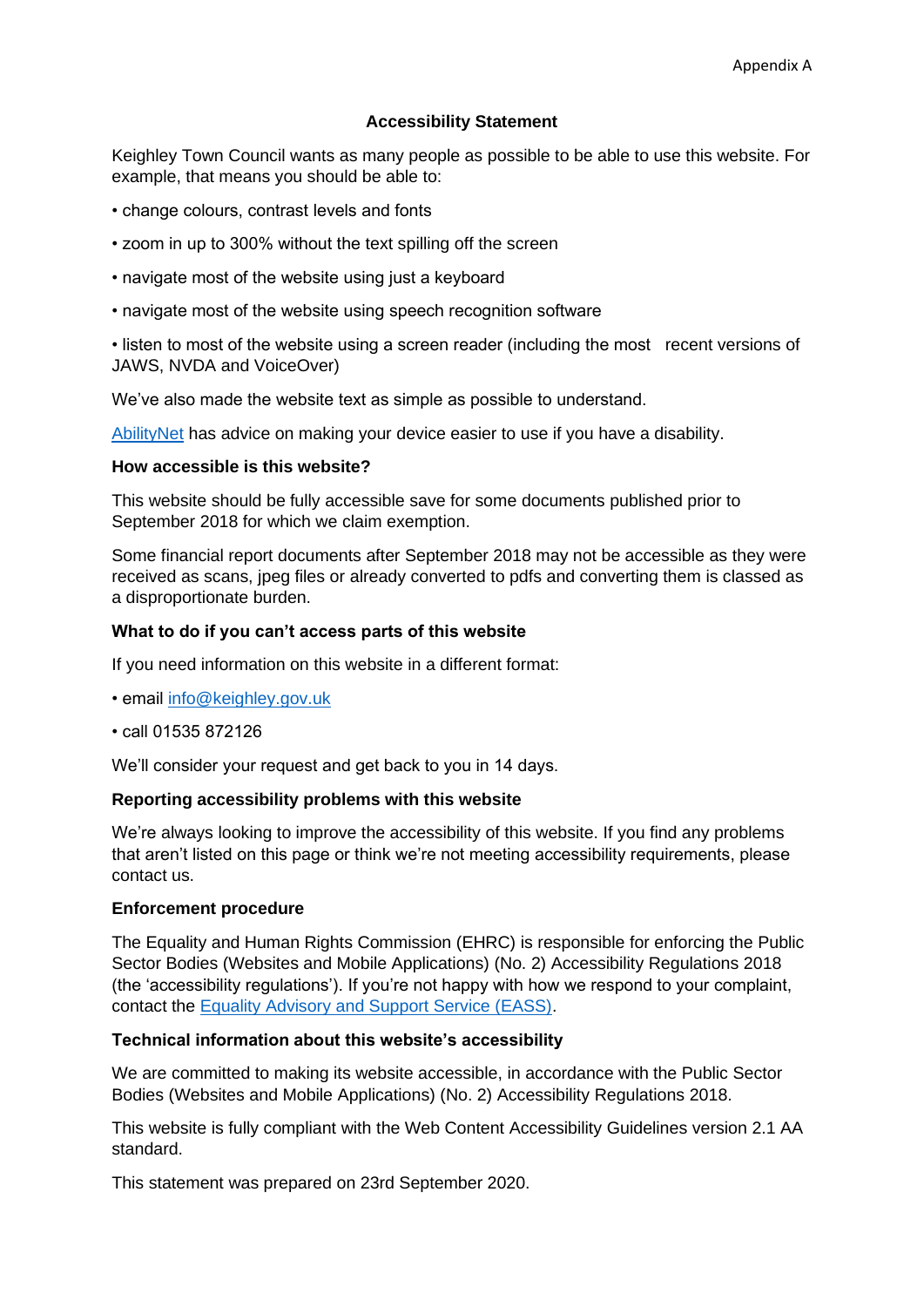#### **Accessibility Statement**

Keighley Town Council wants as many people as possible to be able to use this website. For example, that means you should be able to:

- change colours, contrast levels and fonts
- zoom in up to 300% without the text spilling off the screen
- navigate most of the website using just a keyboard
- navigate most of the website using speech recognition software

• listen to most of the website using a screen reader (including the most recent versions of JAWS, NVDA and VoiceOver)

We've also made the website text as simple as possible to understand.

[AbilityNet](https://mcmw.abilitynet.org.uk/) has advice on making your device easier to use if you have a disability.

#### **How accessible is this website?**

This website should be fully accessible save for some documents published prior to September 2018 for which we claim exemption.

Some financial report documents after September 2018 may not be accessible as they were received as scans, jpeg files or already converted to pdfs and converting them is classed as a disproportionate burden.

#### **What to do if you can't access parts of this website**

If you need information on this website in a different format:

- email [info@keighley.gov.uk](mailto:info@keighley.gov.uk)
- call 01535 872126

We'll consider your request and get back to you in 14 days.

#### **Reporting accessibility problems with this website**

We're always looking to improve the accessibility of this website. If you find any problems that aren't listed on this page or think we're not meeting accessibility requirements, please contact us.

#### **Enforcement procedure**

The Equality and Human Rights Commission (EHRC) is responsible for enforcing the Public Sector Bodies (Websites and Mobile Applications) (No. 2) Accessibility Regulations 2018 (the 'accessibility regulations'). If you're not happy with how we respond to your complaint, contact the [Equality Advisory and Support Service \(EASS\).](https://www.equalityadvisoryservice.com/)

#### **Technical information about this website's accessibility**

We are committed to making its website accessible, in accordance with the Public Sector Bodies (Websites and Mobile Applications) (No. 2) Accessibility Regulations 2018.

This website is fully compliant with the Web Content Accessibility Guidelines version 2.1 AA standard.

This statement was prepared on 23rd September 2020.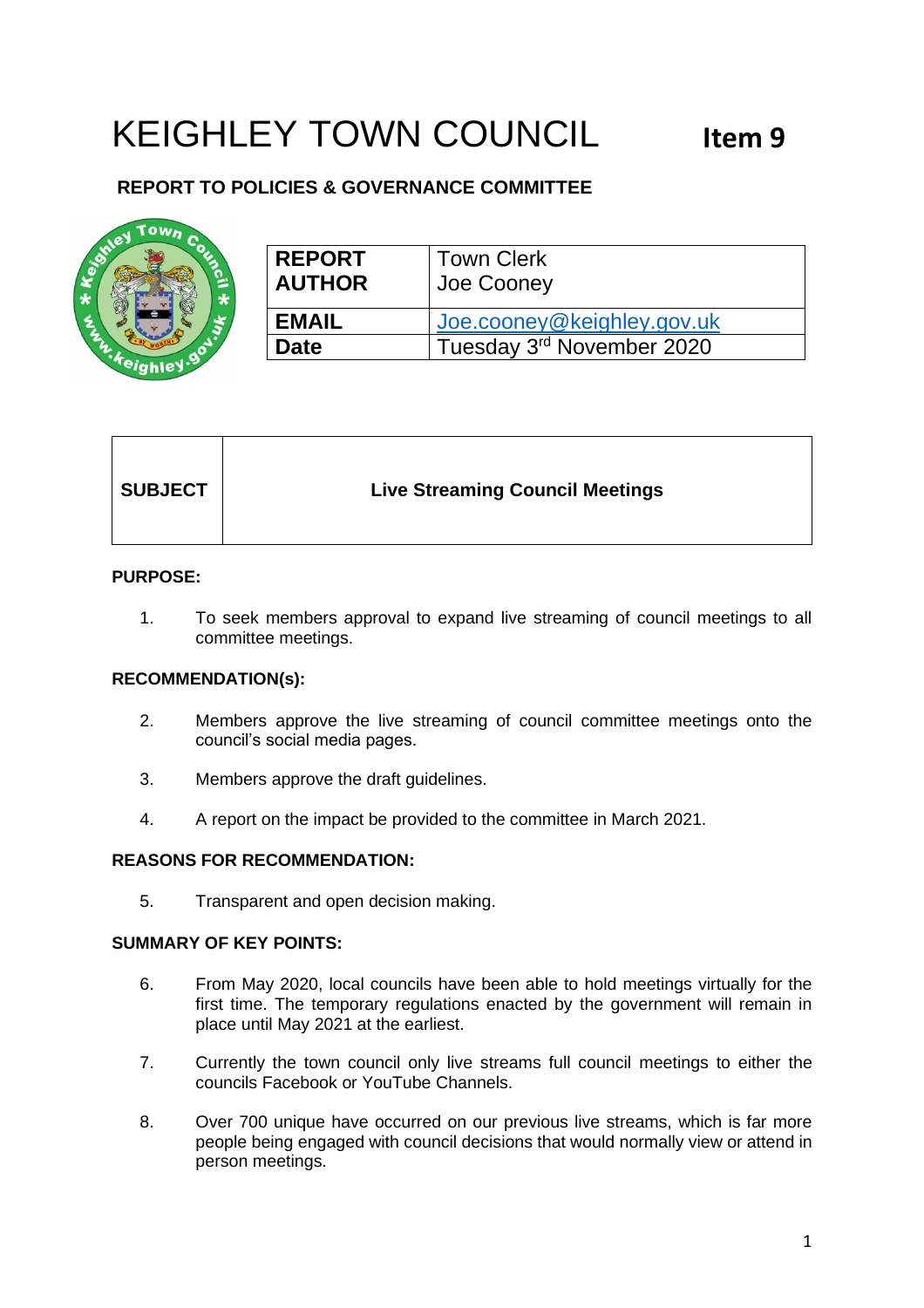# **REPORT TO POLICIES & GOVERNANCE COMMITTEE**



| <b>REPORT</b><br><b>AUTHOR</b> | <b>Town Clerk</b><br>Joe Cooney |
|--------------------------------|---------------------------------|
| <b>EMAIL</b>                   | Joe.cooney@keighley.gov.uk      |
| <b>Date</b>                    | Tuesday 3rd November 2020       |

|  | <b>SUBJECT</b> | <b>Live Streaming Council Meetings</b> |  |
|--|----------------|----------------------------------------|--|
|--|----------------|----------------------------------------|--|

#### **PURPOSE:**

1. To seek members approval to expand live streaming of council meetings to all committee meetings.

#### **RECOMMENDATION(s):**

- 2. Members approve the live streaming of council committee meetings onto the council's social media pages.
- 3. Members approve the draft guidelines.
- 4. A report on the impact be provided to the committee in March 2021.

#### **REASONS FOR RECOMMENDATION:**

5. Transparent and open decision making.

#### **SUMMARY OF KEY POINTS:**

- 6. From May 2020, local councils have been able to hold meetings virtually for the first time. The temporary regulations enacted by the government will remain in place until May 2021 at the earliest.
- 7. Currently the town council only live streams full council meetings to either the councils Facebook or YouTube Channels.
- 8. Over 700 unique have occurred on our previous live streams, which is far more people being engaged with council decisions that would normally view or attend in person meetings.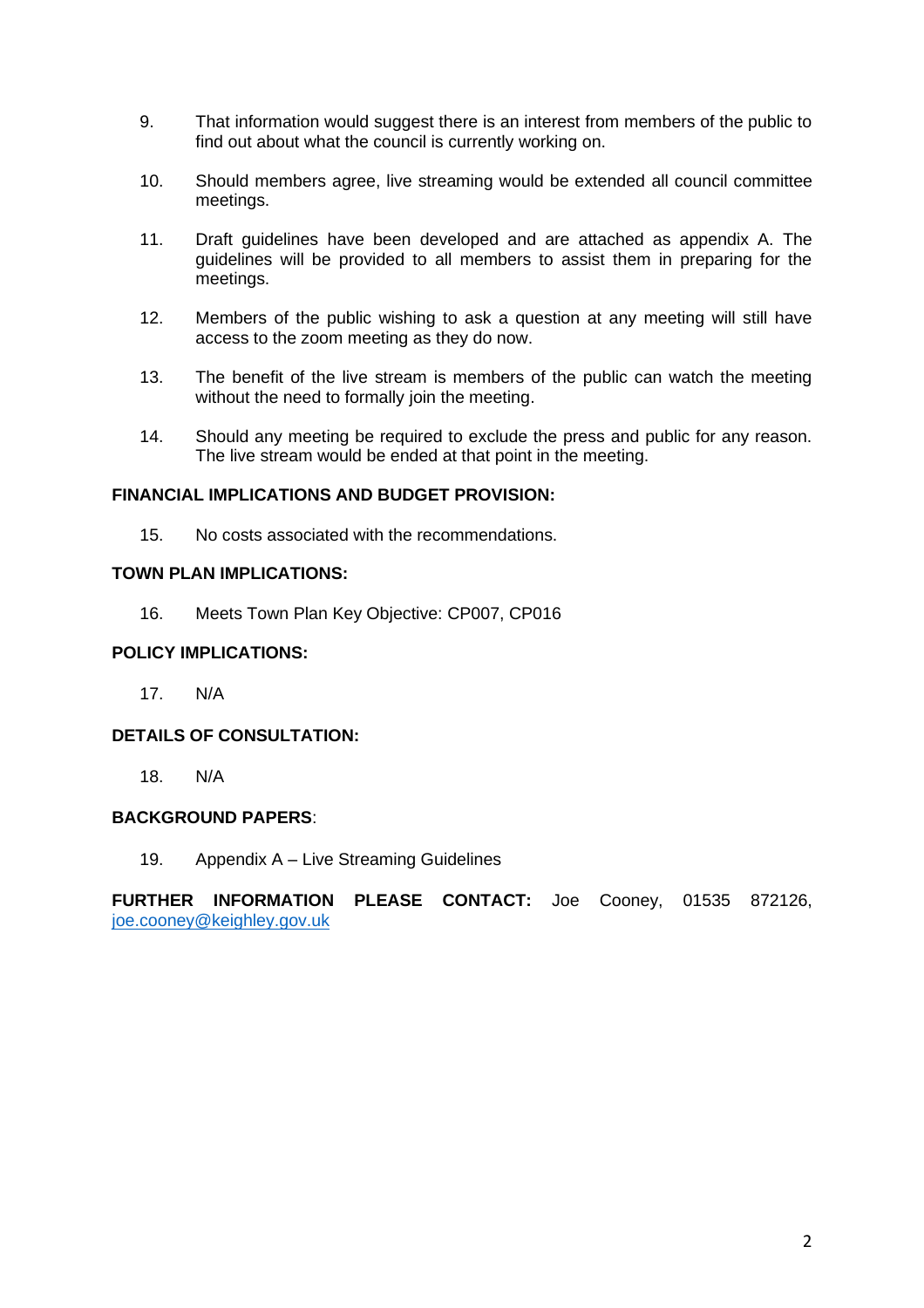- 9. That information would suggest there is an interest from members of the public to find out about what the council is currently working on.
- 10. Should members agree, live streaming would be extended all council committee meetings.
- 11. Draft guidelines have been developed and are attached as appendix A. The guidelines will be provided to all members to assist them in preparing for the meetings.
- 12. Members of the public wishing to ask a question at any meeting will still have access to the zoom meeting as they do now.
- 13. The benefit of the live stream is members of the public can watch the meeting without the need to formally join the meeting.
- 14. Should any meeting be required to exclude the press and public for any reason. The live stream would be ended at that point in the meeting.

#### **FINANCIAL IMPLICATIONS AND BUDGET PROVISION:**

15. No costs associated with the recommendations.

#### **TOWN PLAN IMPLICATIONS:**

16. Meets Town Plan Key Objective: CP007, CP016

#### **POLICY IMPLICATIONS:**

17. N/A

#### **DETAILS OF CONSULTATION:**

18. N/A

#### **BACKGROUND PAPERS**:

19. Appendix A – Live Streaming Guidelines

**FURTHER INFORMATION PLEASE CONTACT:** Joe Cooney, 01535 872126, [joe.cooney@keighley.gov.uk](mailto:joe.cooney@keighley.gov.uk)